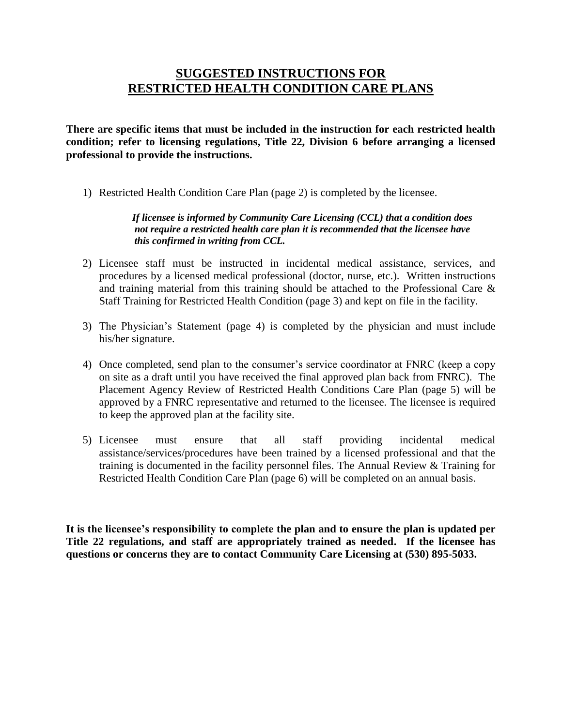## **SUGGESTED INSTRUCTIONS FOR RESTRICTED HEALTH CONDITION CARE PLANS**

**There are specific items that must be included in the instruction for each restricted health condition; refer to licensing regulations, Title 22, Division 6 before arranging a licensed professional to provide the instructions.** 

1) Restricted Health Condition Care Plan (page 2) is completed by the licensee.

#### *If licensee is informed by Community Care Licensing (CCL) that a condition does not require a restricted health care plan it is recommended that the licensee have this confirmed in writing from CCL.*

- 2) Licensee staff must be instructed in incidental medical assistance, services, and procedures by a licensed medical professional (doctor, nurse, etc.). Written instructions and training material from this training should be attached to the Professional Care & Staff Training for Restricted Health Condition (page 3) and kept on file in the facility.
- 3) The Physician's Statement (page 4) is completed by the physician and must include his/her signature.
- 4) Once completed, send plan to the consumer's service coordinator at FNRC (keep a copy on site as a draft until you have received the final approved plan back from FNRC). The Placement Agency Review of Restricted Health Conditions Care Plan (page 5) will be approved by a FNRC representative and returned to the licensee. The licensee is required to keep the approved plan at the facility site.
- 5) Licensee must ensure that all staff providing incidental medical assistance/services/procedures have been trained by a licensed professional and that the training is documented in the facility personnel files. The Annual Review & Training for Restricted Health Condition Care Plan (page 6) will be completed on an annual basis.

**It is the licensee's responsibility to complete the plan and to ensure the plan is updated per Title 22 regulations, and staff are appropriately trained as needed. If the licensee has questions or concerns they are to contact Community Care Licensing at (530) 895-5033.**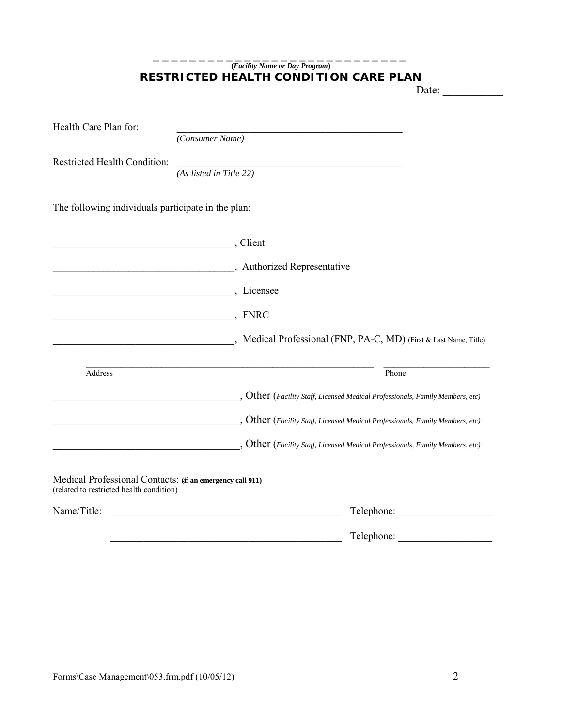#### **\_\_\_\_\_\_\_\_\_\_\_\_\_\_\_\_\_\_\_\_\_\_\_\_\_\_\_\_ (***Facility Name or Day Program***) RESTRICTED HEALTH CONDITION CARE PLAN**

Date:  $\qquad \qquad$ 

| Health Care Plan for:                                                                                 |                                                                                          |                                                                                                                                                                           |  |  |
|-------------------------------------------------------------------------------------------------------|------------------------------------------------------------------------------------------|---------------------------------------------------------------------------------------------------------------------------------------------------------------------------|--|--|
|                                                                                                       | (Consumer Name)                                                                          |                                                                                                                                                                           |  |  |
| <b>Restricted Health Condition:</b>                                                                   |                                                                                          |                                                                                                                                                                           |  |  |
|                                                                                                       | (As listed in Title 22)                                                                  |                                                                                                                                                                           |  |  |
| The following individuals participate in the plan:                                                    |                                                                                          |                                                                                                                                                                           |  |  |
| Client                                                                                                |                                                                                          |                                                                                                                                                                           |  |  |
|                                                                                                       | Authorized Representative                                                                |                                                                                                                                                                           |  |  |
|                                                                                                       | Licensee (Supplying the Licensee Company), Licensee                                      |                                                                                                                                                                           |  |  |
| <u> 1989 - Johann Barn, mars an t-Amerikaansk komponister (</u>                                       | , FNRC                                                                                   |                                                                                                                                                                           |  |  |
|                                                                                                       |                                                                                          | Medical Professional (FNP, PA-C, MD) (First & Last Name, Title)                                                                                                           |  |  |
| <b>Address</b>                                                                                        |                                                                                          | Phone                                                                                                                                                                     |  |  |
|                                                                                                       | $\epsilon$ , Other (Facility Staff, Licensed Medical Professionals, Family Members, etc) |                                                                                                                                                                           |  |  |
|                                                                                                       |                                                                                          | $\text{Other}$ (Facility Staff, Licensed Medical Professionals, Family Members, etc)<br>$\_,$ Other (Facility Staff, Licensed Medical Professionals, Family Members, etc) |  |  |
|                                                                                                       |                                                                                          |                                                                                                                                                                           |  |  |
| Medical Professional Contacts: (if an emergency call 911)<br>(related to restricted health condition) |                                                                                          |                                                                                                                                                                           |  |  |
| Name/Title:                                                                                           |                                                                                          | Telephone:                                                                                                                                                                |  |  |
|                                                                                                       |                                                                                          | Telephone:                                                                                                                                                                |  |  |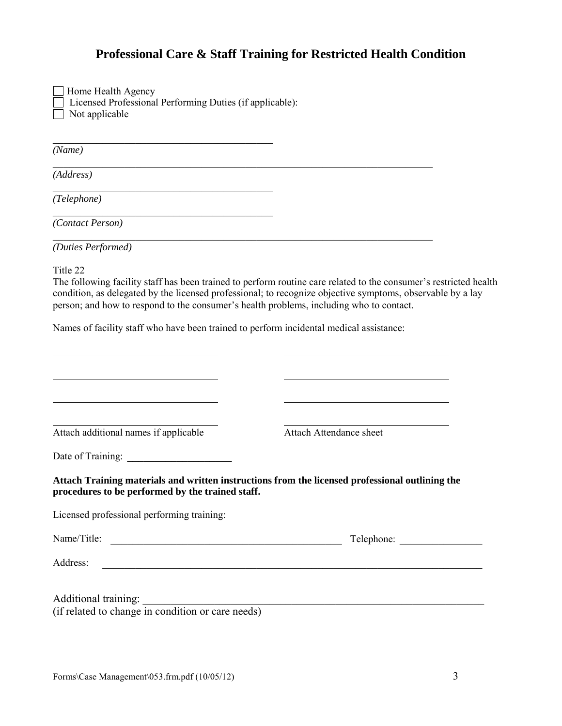## **Professional Care & Staff Training for Restricted Health Condition**

| Home Health Agency                                              |
|-----------------------------------------------------------------|
| $\Box$ Licensed Professional Performing Duties (if applicable): |
| $\Box$ Not applicable                                           |

 $\mathcal{L}_\text{max}$  and  $\mathcal{L}_\text{max}$  and  $\mathcal{L}_\text{max}$  and  $\mathcal{L}_\text{max}$ 

 $\mathcal{L}_\text{max}$  , and the set of the set of the set of the set of the set of the set of the set of the set of the set of the set of the set of the set of the set of the set of the set of the set of the set of the set of the

 $\mathcal{L}_\text{max}$  , and the set of the set of the set of the set of the set of the set of the set of the set of the set of the set of the set of the set of the set of the set of the set of the set of the set of the set of the

*(Name)*

*(Address)*

*(Telephone)* 

*(Contact Person)* 

*(Duties Performed)*

Title 22

The following facility staff has been trained to perform routine care related to the consumer's restricted health condition, as delegated by the licensed professional; to recognize objective symptoms, observable by a lay person; and how to respond to the consumer's health problems, including who to contact.

Names of facility staff who have been trained to perform incidental medical assistance:

\_\_\_\_\_\_\_\_\_\_\_\_\_\_\_\_\_\_\_\_\_\_\_\_\_\_\_\_\_\_\_\_\_\_\_\_\_\_\_\_\_\_\_\_\_\_\_\_\_\_\_\_\_\_\_\_\_\_\_\_\_\_\_\_\_\_\_\_\_

\_\_\_\_\_\_\_\_\_\_\_\_\_\_\_\_\_\_\_\_\_\_\_\_\_\_\_\_\_\_\_\_\_\_\_\_\_\_\_\_\_\_\_\_\_\_\_\_\_\_\_\_\_\_\_\_\_\_\_\_\_\_\_\_\_\_\_\_\_

| Attach additional names if applicable                                                                                                                                                                                          | <b>Attach Attendance sheet</b>                                                                  |
|--------------------------------------------------------------------------------------------------------------------------------------------------------------------------------------------------------------------------------|-------------------------------------------------------------------------------------------------|
|                                                                                                                                                                                                                                |                                                                                                 |
| procedures to be performed by the trained staff.                                                                                                                                                                               | Attach Training materials and written instructions from the licensed professional outlining the |
| Licensed professional performing training:                                                                                                                                                                                     |                                                                                                 |
| Name/Title: Laterature and the contract of the contract of the contract of the contract of the contract of the contract of the contract of the contract of the contract of the contract of the contract of the contract of the | Telephone:                                                                                      |
| Address:<br><u> 1989 - Johann John Stein, mars an deus Frankrik (f. 1989)</u>                                                                                                                                                  |                                                                                                 |
|                                                                                                                                                                                                                                |                                                                                                 |
| Additional training: <i>(if related to change in condition or care needs)</i>                                                                                                                                                  |                                                                                                 |
|                                                                                                                                                                                                                                |                                                                                                 |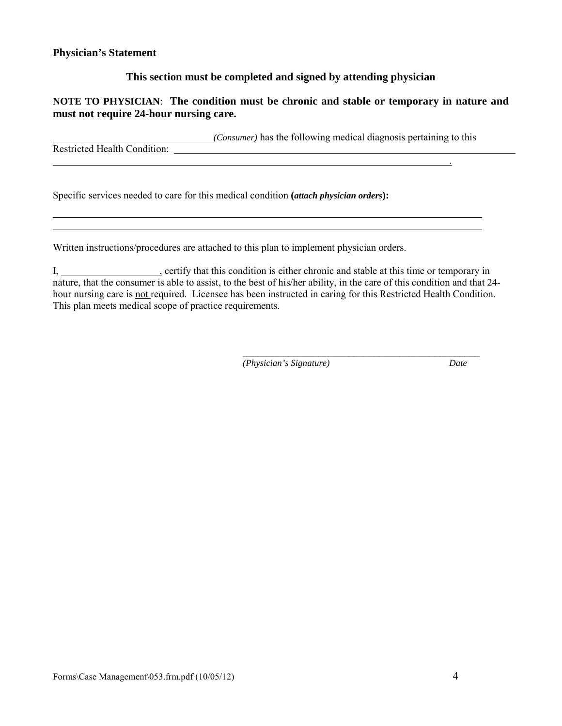#### **This section must be completed and signed by attending physician**

#### **NOTE TO PHYSICIAN**: **The condition must be chronic and stable or temporary in nature and must not require 24-hour nursing care.**

*(Consumer)* has the following medical diagnosis pertaining to this

.

Restricted Health Condition:

 $\overline{a}$ 

Specific services needed to care for this medical condition **(***attach physician orders***):**

Written instructions/procedures are attached to this plan to implement physician orders.

I, certify that this condition is either chronic and stable at this time or temporary in nature, that the consumer is able to assist, to the best of his/her ability, in the care of this condition and that 24 hour nursing care is not required. Licensee has been instructed in caring for this Restricted Health Condition. This plan meets medical scope of practice requirements.

<u> 1989 - Johann Stoff, amerikansk politiker (d. 1989)</u>

\_\_\_\_\_\_\_\_\_\_\_\_\_\_\_\_\_\_\_\_\_\_\_\_\_\_\_\_\_\_\_\_\_\_\_\_\_\_\_\_\_\_\_\_\_\_\_ *(Physician's Signature) Date*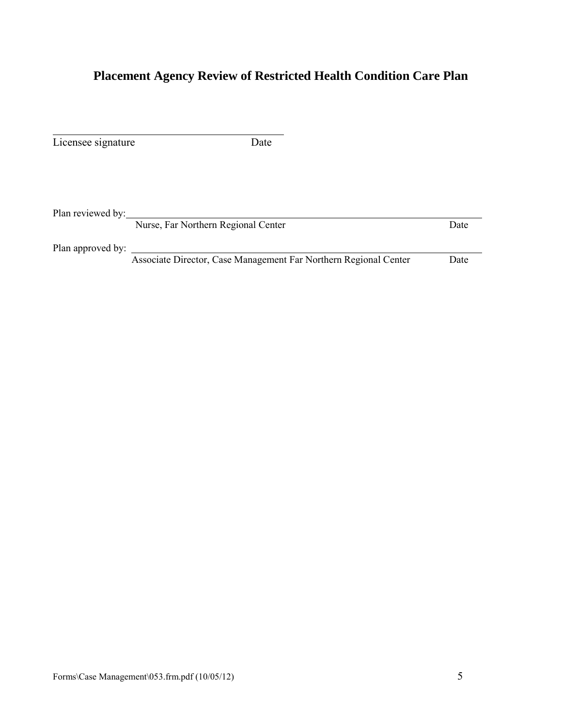# **Placement Agency Review of Restricted Health Condition Care Plan**

| Licensee signature | Date                                                             |      |
|--------------------|------------------------------------------------------------------|------|
|                    |                                                                  |      |
| Plan reviewed by:  | Nurse, Far Northern Regional Center                              | Date |
| Plan approved by:  |                                                                  |      |
|                    | Associate Director, Case Management Far Northern Regional Center | Date |